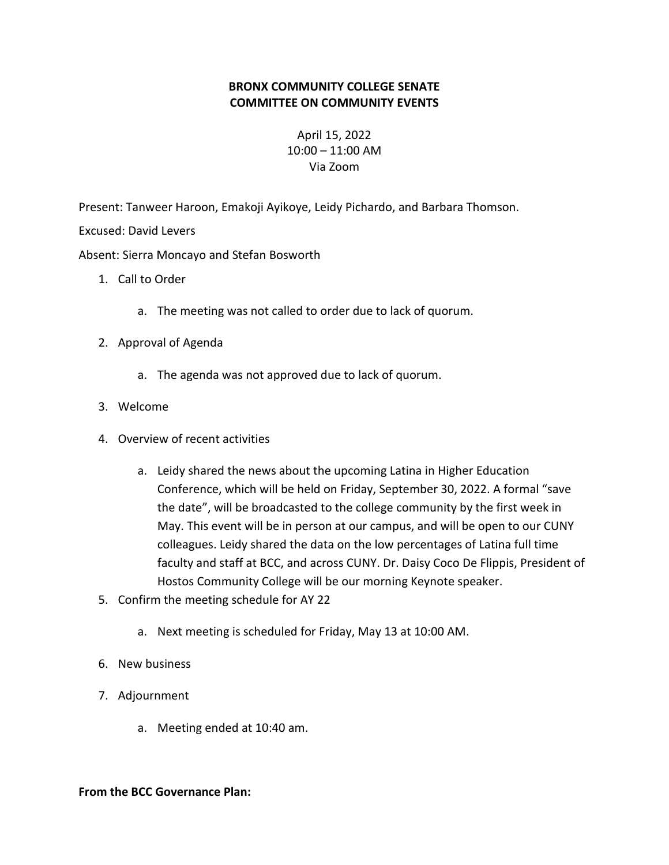## **BRONX COMMUNITY COLLEGE SENATE COMMITTEE ON COMMUNITY EVENTS**

April 15, 2022 10:00 – 11:00 AM Via Zoom

Present: Tanweer Haroon, Emakoji Ayikoye, Leidy Pichardo, and Barbara Thomson.

Excused: David Levers

Absent: Sierra Moncayo and Stefan Bosworth

- 1. Call to Order
	- a. The meeting was not called to order due to lack of quorum.
- 2. Approval of Agenda
	- a. The agenda was not approved due to lack of quorum.
- 3. Welcome
- 4. Overview of recent activities
	- a. Leidy shared the news about the upcoming Latina in Higher Education Conference, which will be held on Friday, September 30, 2022. A formal "save the date", will be broadcasted to the college community by the first week in May. This event will be in person at our campus, and will be open to our CUNY colleagues. Leidy shared the data on the low percentages of Latina full time faculty and staff at BCC, and across CUNY. Dr. Daisy Coco De Flippis, President of Hostos Community College will be our morning Keynote speaker.
- 5. Confirm the meeting schedule for AY 22
	- a. Next meeting is scheduled for Friday, May 13 at 10:00 AM.
- 6. New business
- 7. Adjournment
	- a. Meeting ended at 10:40 am.

## **From the BCC Governance Plan:**